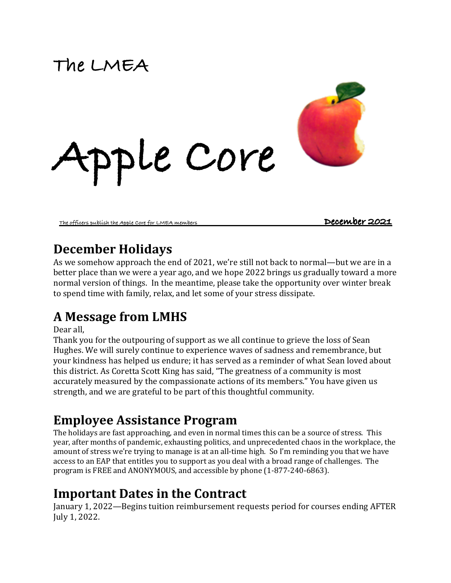# **The LMEA**



The officers publ<u>ish the Apple Core for LMEA members **December 2021**</u>

### **December Holidays**

As we somehow approach the end of 2021, we're still not back to normal—but we are in a better place than we were a year ago, and we hope 2022 brings us gradually toward a more normal version of things. In the meantime, please take the opportunity over winter break to spend time with family, relax, and let some of your stress dissipate.

## **A Message from LMHS**

Dear all.

Thank you for the outpouring of support as we all continue to grieve the loss of Sean Hughes. We will surely continue to experience waves of sadness and remembrance, but your kindness has helped us endure; it has served as a reminder of what Sean loved about this district. As Coretta Scott King has said, "The greatness of a community is most accurately measured by the compassionate actions of its members." You have given us strength, and we are grateful to be part of this thoughtful community.

## **Employee Assistance Program**

The holidays are fast approaching, and even in normal times this can be a source of stress. This year, after months of pandemic, exhausting politics, and unprecedented chaos in the workplace, the amount of stress we're trying to manage is at an all-time high. So I'm reminding you that we have access to an EAP that entitles you to support as you deal with a broad range of challenges. The program is FREE and ANONYMOUS, and accessible by phone  $(1-877-240-6863)$ .

### **Important Dates in the Contract**

January 1, 2022—Begins tuition reimbursement requests period for courses ending AFTER July 1, 2022.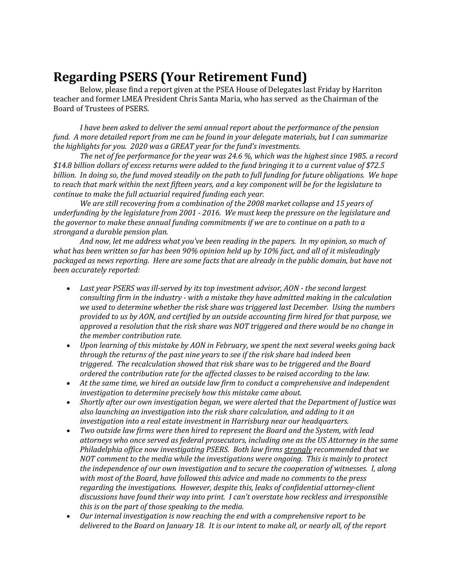### **Regarding PSERS (Your Retirement Fund)**

Below, please find a report given at the PSEA House of Delegates last Friday by Harriton teacher and former LMEA President Chris Santa Maria, who has served as the Chairman of the Board of Trustees of PSERS.

*I* have been asked to deliver the semi annual report about the performance of the pension *fund.* A more detailed report from me can be found in your delegate materials, but I can summarize *the highlights for you.* 2020 was a GREAT year for the fund's investments.

*The net of fee performance for the year was 24.6 %, which was the highest since 1985. a record*  \$14.8 billion dollars of excess returns were added to the fund bringing it to a current value of \$72.5 *billion. In doing so, the fund moved steadily on the path to full funding for future obligations. We hope to* reach that mark within the next fifteen years, and a key component will be for the legislature to *continue to make the full actuarial required funding each year.* 

We are still recovering from a combination of the 2008 market collapse and 15 years of *underfunding by the legislature from 2001 - 2016. We must keep the pressure on the legislature and* the governor to make these annual funding commitments if we are to continue on a path to a *strongand a durable pension plan.*

And now, let me address what you've been reading in the papers. In my opinion, so much of what has been written so far has been 90% opinion held up by 10% fact, and all of it misleadingly *packaged as news reporting. Here are some facts that are already in the public domain, but have not been accurately reported:*

- Last year PSERS was ill-served by its top investment advisor, AON the second largest *consulting firm in the industry - with a mistake they have admitted making in the calculation* we used to determine whether the risk share was triggered last December. Using the numbers *provided to us by AON, and certified by an outside accounting firm hired for that purpose, we approved a resolution that the risk share was NOT triggered and there would be no change in the member contribution rate.*
- *Upon learning of this mistake by AON in February, we spent the next several weeks going back* through the returns of the past nine years to see if the risk share had indeed been *triggered.* The recalculation showed that risk share was to be triggered and the Board *ordered the contribution rate for the affected classes to be raised according to the law.*
- At the same time, we hired an outside law firm to conduct a comprehensive and independent *investigation to determine precisely how this mistake came about.*
- Shortly after our own investigation began, we were alerted that the Department of Justice was also launching an investigation into the risk share calculation, and adding to it an *investigation into a real estate investment in Harrisburg near our headquarters.*
- Two outside law firms were then hired to represent the Board and the System, with lead attorneys who once served as federal prosecutors, including one as the US Attorney in the same *Philadelphia office now investigating PSERS. Both law firms strongly recommended that we NOT* comment to the media while the investigations were ongoing. This is mainly to protect *the independence of our own investigation and to secure the cooperation of witnesses. I, along* with most of the Board, have followed this advice and made no comments to the press *regarding the investigations. However, despite this, leaks of confidential attorney-client* discussions have found their way into print. *I* can't overstate how reckless and irresponsible *this is on the part of those speaking to the media.*
- Our internal investigation is now reaching the end with a comprehensive report to be *delivered to the Board on January 18. It is our intent to make all, or nearly all, of the report*